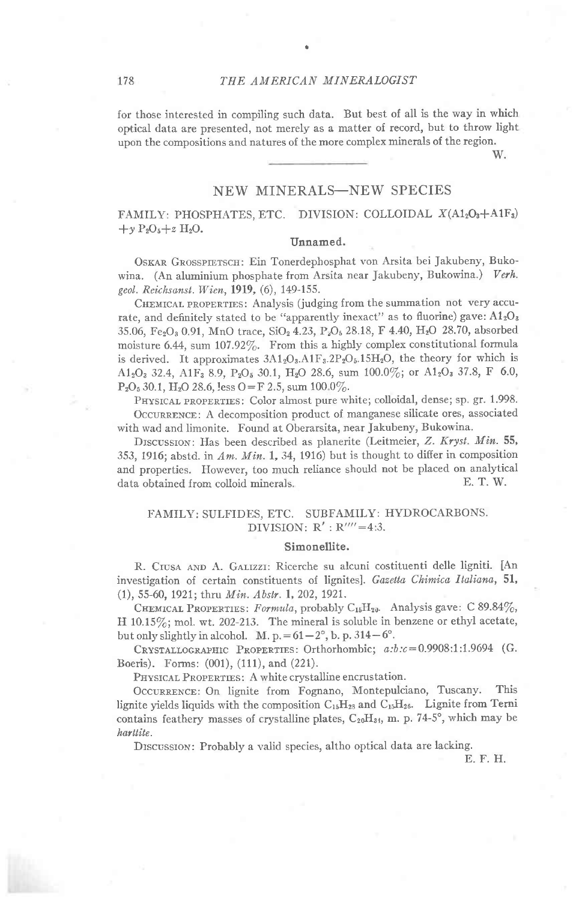for those interested in compiling such data. But best of all is the way in which optical data are presented, not merely as a matter of record, but to throw light upon the compositions and natures of the more complex minerals of the region.

W.

# **NEW MINERALS-NEW SPECIES**

FAMILY: PHOSPHATES, ETC. DIVISION: COLLOIDAL X(A12O3+A1F3)  $+y P_2O_5 + z H_2O.$ 

### Unnamed.

OSKAR GROSSPIETSCH: Ein Tonerdephosphat von Arsita bei Jakubeny, Bukowina. (An aluminium phosphate from Arsita near Jakubeny, Bukowina.) Verh. geol. Reichsanst. Wien, 1919, (6), 149-155.

CHEMICAL PROPERTIES: Analysis (judging from the summation not very accurate, and definitely stated to be "apparently inexact" as to fluorine) gave:  $A1_2O_3$ 35.06, Fe<sub>2</sub>O<sub>3</sub> 0.91, MnO trace, SiO<sub>2</sub> 4.23, P<sub>2</sub>O<sub>5</sub> 28.18, F 4.40, H<sub>2</sub>O 28.70, absorbed moisture 6.44, sum 107.92%. From this a highly complex constitutional formula is derived. It approximates  $3A1_2O_3.A1F_3.2P_2O_5.15H_2O$ , the theory for which is  $A1_2O_3$  32.4,  $A1F_3$  8.9,  $P_2O_5$  30.1,  $H_2O$  28.6, sum 100.0%; or  $A1_2O_3$  37.8, F 6.0,  $P_2O_5$  30.1, H<sub>2</sub>O 28.6, less O = F 2.5, sum 100 0%.

PHYSICAL PROPERTIES: Color almost pure white; colloidal, dense; sp. gr. 1.998. OCCURRENCE: A decomposition product of manganese silicate ores, associated with wad and limonite. Found at Oberarsita, near Jakubeny, Bukowina.

DISCUSSION: Has been described as planerite (Leitmeier, Z. Kryst. Min. 55, 353, 1916; abstd. in  $Am.$   $Min.$  1, 34, 1916) but is thought to differ in composition and properties. However, too much reliance should not be placed on analytical data obtained from colloid minerals. E. T. W.

### FAMILY: SULFIDES, ETC. SUBFAMILY: HYDROCARBONS. DIVISION:  $R'$  :  $R'''=4:3$ .

#### Simonellite.

R. CIUSA AND A. GALIZZI: Ricerche su alcuni costituenti delle ligniti. [An investigation of certain constituents of lignites]. Gazetta Chimica Italiana, 51, (1), 55-60, 1921; thru Min. Abstr. 1, 202, 1921.

CHEMICAL PROPERTIES: Formula, probably C<sub>15</sub>H<sub>20</sub>. Analysis gave: C 89.84%, H 10.15%; mol. wt. 202-213. The mineral is soluble in benzene or ethyl acetate, but only slightly in alcohol. M. p. =  $61-2^{\circ}$ , b. p. 314-6°.

CRYSTALLOGRAPHIC PROPERTIES: Orthorhombic; a:b:c=0.9908:1:1.9694 (G. Boeris). Forms: (001), (111), and (221).

PHYSICAL PROPERTIES: A white crystalline encrustation.

OCCURRENCE: On lignite from Fognano, Montepulciano, Tuscany. This lignite yields liquids with the composition  $C_{15}H_{28}$  and  $C_{15}H_{26}$ . Lignite from Terni contains feathery masses of crystalline plates,  $C_{20}H_{34}$ , m. p. 74-5°, which may be harttite.

DISCUSSION: Probably a valid species, altho optical data are lacking.

E. F. H.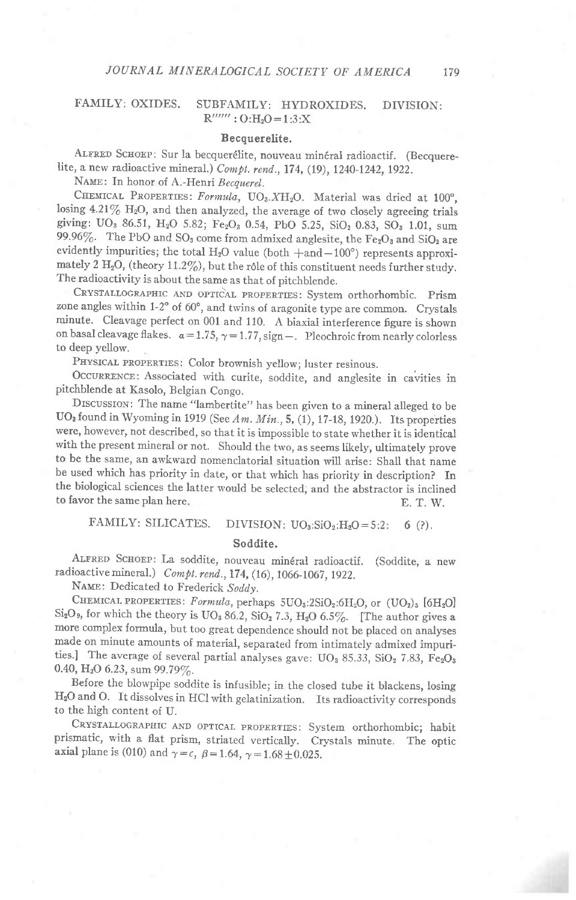#### **FAMILY: OXIDES.** SUBFAMILY: HYDROXIDES. DIVISION:  $R''''''$ :  $O:H<sub>2</sub>O=1:3:X$

#### Becquerelite.

ALFRED SCHOEP: Sur la becquerélite, nouveau minéral radioactif. (Becquerelite, a new radioactive mineral.) Compt. rend., 174, (19), 1240-1242, 1922.

NAME: In honor of A.-Henri Becquerel.

CHEMICAL PROPERTIES: Formula, UO3.XH2O. Material was dried at 100°, losing 4.21% H<sub>2</sub>O, and then analyzed, the average of two closely agreeing trials giving: UO<sub>3</sub> 86.51, H<sub>2</sub>O 5.82; Fe<sub>2</sub>O<sub>3</sub> 0.54, PbO 5.25, SiO<sub>2</sub> 0.83, SO<sub>3</sub> 1.01, sum 99.96%. The PbO and SO<sub>3</sub> come from admixed anglesite, the Fe<sub>2</sub>O<sub>3</sub> and SiO<sub>2</sub> are evidently impurities; the total H<sub>2</sub>O value (both  $+$ and $-100^{\circ}$ ) represents approximately 2 H<sub>2</sub>O, (theory 11.2%), but the rôle of this constituent needs further study. The radioactivity is about the same as that of pitchblende.

CRYSTALLOGRAPHIC AND OPTICAL PROPERTIES: System orthorhombic. Prism zone angles within 1-2° of 60°, and twins of aragonite type are common. Crystals minute. Cleavage perfect on 001 and 110. A biaxial interference figure is shown on basal cleavage flakes.  $\alpha = 1.75$ ,  $\gamma = 1.77$ , sign -. Pleochroic from nearly colorless to deep yellow.

PHYSICAL PROPERTIES: Color brownish yellow; luster resinous.

OCCURRENCE: Associated with curite, soddite, and anglesite in cavities in pitchblende at Kasolo, Belgian Congo.

DISCUSSION: The name "lambertite" has been given to a mineral alleged to be UO<sub>3</sub> found in Wyoming in 1919 (See Am. Min., 5, (1), 17-18, 1920.). Its properties were, however, not described, so that it is impossible to state whether it is identical with the present mineral or not. Should the two, as seems likely, ultimately prove to be the same, an awkward nomenclatorial situation will arise: Shall that name be used which has priority in date, or that which has priority in description? In the biological sciences the latter would be selected, and the abstractor is inclined to favor the same plan here. E. T. W.

#### FAMILY: SILICATES. DIVISION:  $UO_3:SiO_2:H_2O = 5:2$ :  $6(?)$ .

#### Soddite.

ALFRED SCHOEP: La soddite, nouveau minéral radioactif. (Soddite, a new radioactive mineral.) Compt. rend., 174, (16), 1066-1067, 1922.

NAME: Dedicated to Frederick Soddy.

CHEMICAL PROPERTIES: Formula, perhaps  $5UO_3:2SiO_2:6H_2O$ , or  $(UO_2)_5$  [6H<sub>2</sub>O]  $Si<sub>2</sub>O<sub>9</sub>$ , for which the theory is UO<sub>3</sub> 86.2, SiO<sub>2</sub> 7.3, H<sub>2</sub>O 6.5%. [The author gives a more complex formula, but too great dependence should not be placed on analyses made on minute amounts of material, separated from intimately admixed impurities.] The average of several partial analyses gave: UO<sub>3</sub> 85.33, SiO<sub>2</sub> 7.83, Fe<sub>2</sub>O<sub>3</sub> 0.40, H<sub>2</sub>O 6.23, sum 99.79%.

Before the blowpipe soddite is infusible; in the closed tube it blackens, losing H<sub>2</sub>O and O. It dissolves in HCl with gelatinization. Its radioactivity corresponds to the high content of U.

CRYSTALLOGRAPHIC AND OPTICAL PROPERTIES: System orthorhombic; habit prismatic, with a flat prism, striated vertically. Crystals minute. The optic axial plane is (010) and  $\gamma = c$ ,  $\beta = 1.64$ ,  $\gamma = 1.68 \pm 0.025$ .